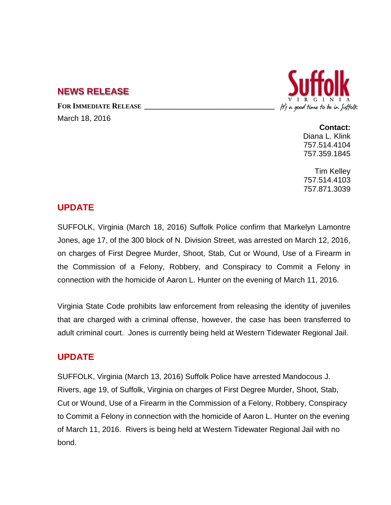## **NEWS RELEASE**

FOR **IMMEDIATE RELEASE** March 18, 2016



**Contact:** Diana L. Klink 757.514.4104 757.359.1845

Tim Kelley 757.514.4103 757.871.3039

## **UPDATE**

SUFFOLK, Virginia (March 18, 2016) Suffolk Police confirm that Markelyn Lamontre Jones, age 17, of the 300 block of N. Division Street, was arrested on March 12, 2016, on charges of First Degree Murder, Shoot, Stab, Cut or Wound, Use of a Firearm in the Commission of a Felony, Robbery, and Conspiracy to Commit a Felony in connection with the homicide of Aaron L. Hunter on the evening of March 11, 2016.

Virginia State Code prohibits law enforcement from releasing the identity of juveniles that are charged with a criminal offense, however, the case has been transferred to adult criminal court. Jones is currently being held at Western Tidewater Regional Jail.

#### **UPDATE**

SUFFOLK, Virginia (March 13, 2016) Suffolk Police have arrested Mandocous J. Rivers, age 19, of Suffolk, Virginia on charges of First Degree Murder, Shoot, Stab, Cut or Wound, Use of a Firearm in the Commission of a Felony, Robbery, Conspiracy to Commit a Felony in connection with the homicide of Aaron L. Hunter on the evening of March 11, 2016. Rivers is being held at Western Tidewater Regional Jail with no bond.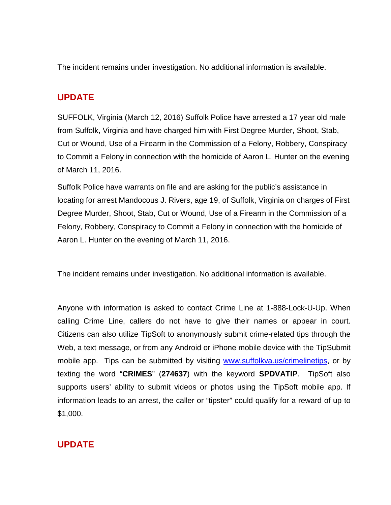The incident remains under investigation. No additional information is available.

# **UPDATE**

SUFFOLK, Virginia (March 12, 2016) Suffolk Police have arrested a 17 year old male from Suffolk, Virginia and have charged him with First Degree Murder, Shoot, Stab, Cut or Wound, Use of a Firearm in the Commission of a Felony, Robbery, Conspiracy to Commit a Felony in connection with the homicide of Aaron L. Hunter on the evening of March 11, 2016.

Suffolk Police have warrants on file and are asking for the public's assistance in locating for arrest Mandocous J. Rivers, age 19, of Suffolk, Virginia on charges of First Degree Murder, Shoot, Stab, Cut or Wound, Use of a Firearm in the Commission of a Felony, Robbery, Conspiracy to Commit a Felony in connection with the homicide of Aaron L. Hunter on the evening of March 11, 2016.

The incident remains under investigation. No additional information is available.

Anyone with information is asked to contact Crime Line at 1-888-Lock-U-Up. When calling Crime Line, callers do not have to give their names or appear in court. Citizens can also utilize TipSoft to anonymously submit crime-related tips through the Web, a text message, or from any Android or iPhone mobile device with the [TipSubmit](http://www.tipsoft.com/index.asp?P=TipSubmitMobile)  [mobile app.](http://www.tipsoft.com/index.asp?P=TipSubmitMobile) Tips can be submitted by visiting [www.suffolkva.us/crimelinetips,](http://www.suffolkva.us/crimelinetips) or by texting the word "**CRIMES**" (**274637**) with the keyword **SPDVATIP**. TipSoft also supports users' ability to submit videos or photos using the TipSoft mobile app. If information leads to an arrest, the caller or "tipster" could qualify for a reward of up to \$1,000.

# **UPDATE**